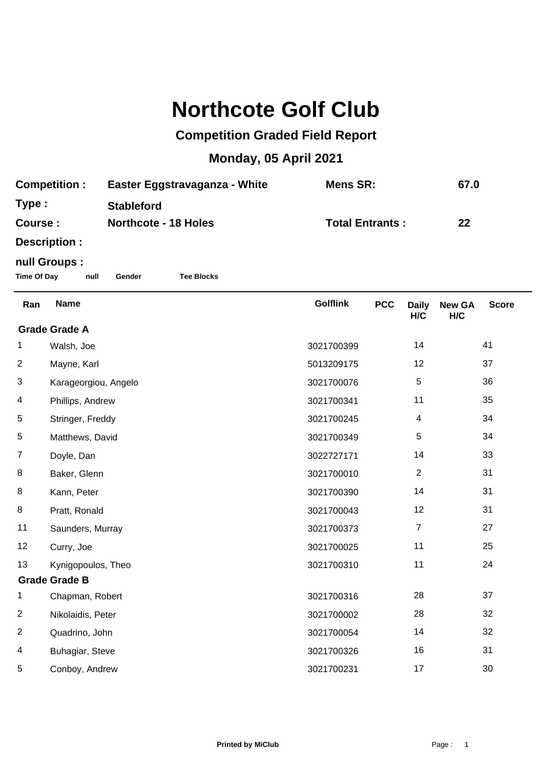## **Northcote Golf Club**

## **Competition Graded Field Report**

## **Monday, 05 April 2021**

| <b>Competition :</b> | Easter Eggstravaganza - White | Mens SR:               | 67.0 |
|----------------------|-------------------------------|------------------------|------|
| Type :               | <b>Stableford</b>             |                        |      |
| <b>Course :</b>      | <b>Northcote - 18 Holes</b>   | <b>Total Entrants:</b> | 22   |
|                      |                               |                        |      |

**Description :**

## **null Groups :**

**Time Of Day null Gender Tee Blocks**

| Ran                  | <b>Name</b>          | <b>Golflink</b> | <b>PCC</b> | <b>Daily</b>   | <b>New GA</b> | <b>Score</b> |  |
|----------------------|----------------------|-----------------|------------|----------------|---------------|--------------|--|
|                      |                      |                 |            | H/C            | H/C           |              |  |
| <b>Grade Grade A</b> |                      |                 |            |                |               |              |  |
| 1                    | Walsh, Joe           | 3021700399      |            | 14             |               | 41           |  |
| $\overline{2}$       | Mayne, Karl          | 5013209175      |            | 12             |               | 37           |  |
| 3                    | Karageorgiou, Angelo | 3021700076      |            | 5              |               | 36           |  |
| 4                    | Phillips, Andrew     | 3021700341      |            | 11             |               | 35           |  |
| 5                    | Stringer, Freddy     | 3021700245      |            | 4              |               | 34           |  |
| 5                    | Matthews, David      | 3021700349      |            | 5              |               | 34           |  |
| $\overline{7}$       | Doyle, Dan           | 3022727171      |            | 14             |               | 33           |  |
| 8                    | Baker, Glenn         | 3021700010      |            | $\overline{2}$ |               | 31           |  |
| 8                    | Kann, Peter          | 3021700390      |            | 14             |               | 31           |  |
| 8                    | Pratt, Ronald        | 3021700043      |            | 12             |               | 31           |  |
| 11                   | Saunders, Murray     | 3021700373      |            | 7              |               | 27           |  |
| 12                   | Curry, Joe           | 3021700025      |            | 11             |               | 25           |  |
| 13                   | Kynigopoulos, Theo   | 3021700310      |            | 11             |               | 24           |  |
| <b>Grade Grade B</b> |                      |                 |            |                |               |              |  |
| 1.                   | Chapman, Robert      | 3021700316      |            | 28             |               | 37           |  |
| 2                    | Nikolaidis, Peter    | 3021700002      |            | 28             |               | 32           |  |
| $\overline{c}$       | Quadrino, John       | 3021700054      |            | 14             |               | 32           |  |
| 4                    | Buhagiar, Steve      | 3021700326      |            | 16             |               | 31           |  |
| 5                    | Conboy, Andrew       | 3021700231      |            | 17             |               | 30           |  |